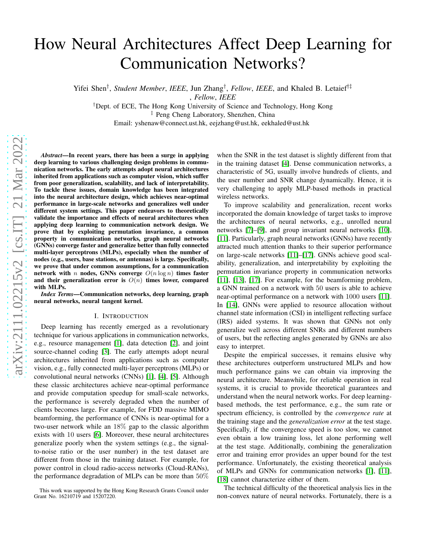# How Neural Architectures Affect Deep Learning for Communication Networks?

Yifei Shen† , *Student Member*, *IEEE*, Jun Zhang† , *Fellow*, *IEEE*, and Khaled B. Letaief†‡

, *Fellow*, *IEEE*

†Dept. of ECE, The Hong Kong University of Science and Technology, Hong Kong

‡ Peng Cheng Laboratory, Shenzhen, China

Email: yshenaw@connect.ust.hk, eejzhang@ust.hk, eekhaled@ust.hk

*Abstract*—In recent years, there has been a surge in applying deep learning to various challenging design problems in communication networks. The early attempts adopt neural architectures inherited from applications such as computer vision, which suffer from poor generalization, scalability, and lack of interpretability. To tackle these issues, domain knowledge has been integrated into the neural architecture design, which achieves near-optimal performance in large-scale networks and generalizes well under different system settings. This paper endeavors to theoretically validate the importance and effects of neural architectures when applying deep learning to communication network design. We prove that by exploiting permutation invariance, a common property in communication networks, graph neural networks (GNNs) converge faster and generalize better than fully connected multi-layer perceptrons (MLPs), especially when the number of nodes (e.g., users, base stations, or antennas) is large. Specifically, we prove that under common assumptions, for a communication network with *n* nodes, GNNs converge  $O(n \log n)$  times faster and their generalization error is  $O(n)$  times lower, compared with MLPs.

*Index Terms*—Communication networks, deep learning, graph neural networks, neural tangent kernel.

#### I. INTRODUCTION

Deep learning has recently emerged as a revolutionary technique for various applications in communication networks, e.g., resource management [\[1\]](#page-5-0), data detection [\[2\]](#page-5-1), and joint source-channel coding [\[3\]](#page-5-2). The early attempts adopt neural architectures inherited from applications such as computer vision, e.g., fully connected multi-layer perceptrons (MLPs) or convolutional neural networks (CNNs) [\[1\]](#page-5-0), [\[4\]](#page-5-3), [\[5\]](#page-5-4). Although these classic architectures achieve near-optimal performance and provide computation speedup for small-scale networks, the performance is severely degraded when the number of clients becomes large. For example, for FDD massive MIMO beamforming, the performance of CNNs is near-optimal for a two-user network while an 18% gap to the classic algorithm exists with 10 users [\[6\]](#page-5-5). Moreover, these neural architectures generalize poorly when the system settings (e.g., the signalto-noise ratio or the user number) in the test dataset are different from those in the training dataset. For example, for power control in cloud radio-access networks (Cloud-RANs), the performance degradation of MLPs can be more than 50%

when the SNR in the test dataset is slightly different from that in the training dataset [\[4\]](#page-5-3). Dense communication networks, a characteristic of 5G, usually involve hundreds of clients, and the user number and SNR change dynamically. Hence, it is very challenging to apply MLP-based methods in practical wireless networks.

To improve scalability and generalization, recent works incorporated the domain knowledge of target tasks to improve the architectures of neural networks, e.g., unrolled neural networks [\[7\]](#page-5-6)–[\[9\]](#page-5-7), and group invariant neural networks [\[10\]](#page-5-8), [\[11\]](#page-5-9). Particularly, graph neural networks (GNNs) have recently attracted much attention thanks to their superior performance on large-scale networks [\[11\]](#page-5-9)–[\[17\]](#page-5-10). GNNs achieve good scalability, generalization, and interpretability by exploiting the permutation invariance property in communication networks [\[11\]](#page-5-9), [\[13\]](#page-5-11), [\[17\]](#page-5-10). For example, for the beamforming problem, a GNN trained on a network with 50 users is able to achieve near-optimal performance on a network with 1000 users [\[11\]](#page-5-9). In [\[14\]](#page-5-12), GNNs were applied to resource allocation without channel state information (CSI) in intelligent reflecting surface (IRS) aided systems. It was shown that GNNs not only generalize well across different SNRs and different numbers of users, but the reflecting angles generated by GNNs are also easy to interpret.

Despite the empirical successes, it remains elusive why these architectures outperform unstructured MLPs and how much performance gains we can obtain via improving the neural architecture. Meanwhile, for reliable operation in real systems, it is crucial to provide theoretical guarantees and understand when the neural network works. For deep learningbased methods, the test performance, e.g., the sum rate or spectrum efficiency, is controlled by the *convergence rate* at the training stage and the *generalization error* at the test stage. Specifically, if the convergence speed is too slow, we cannot even obtain a low training loss, let alone performing well at the test stage. Additionally, combining the generalization error and training error provides an upper bound for the test performance. Unfortunately, the existing theoretical analysis of MLPs and GNNs for communication networks [\[1\]](#page-5-0), [\[11\]](#page-5-9), [\[18\]](#page-5-13) cannot characterize either of them.

The technical difficulty of the theoretical analysis lies in the non-convex nature of neural networks. Fortunately, there is a

This work was supported by the Hong Kong Research Grants Council under Grant No. 16210719 and 15207220.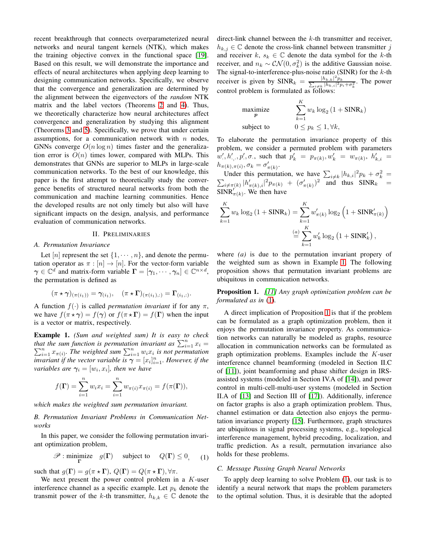recent breakthrough that connects overparameterized neural networks and neural tangent kernels (NTK), which makes the training objective convex in the functional space [\[19\]](#page-5-14). Based on this result, we will demonstrate the importance and effects of neural architectures when applying deep learning to designing communication networks. Specifically, we observe that the convergence and generalization are determined by the alignment between the eigenvectors of the *random* NTK matrix and the label vectors (Theorems [2](#page-3-0) and [4\)](#page-4-0). Thus, we theoretically characterize how neural architectures affect convergence and generalization by studying this alignment (Theorems [3](#page-3-1) and [5\)](#page-4-1). Specifically, we prove that under certain assumptions, for a communication network with  $n$  nodes, GNNs converge  $O(n \log n)$  times faster and the generalization error is  $O(n)$  times lower, compared with MLPs. This demonstrates that GNNs are superior to MLPs in large-scale communication networks. To the best of our knowledge, this paper is the first attempt to theoretically study the convergence benefits of structured neural networks from both the communication and machine learning communities. Hence the developed results are not only timely but also will have significant impacts on the design, analysis, and performance evaluation of communication networks.

## II. PRELIMINARIES

## <span id="page-1-3"></span>*A. Permutation Invariance*

Let [n] represent the set  $\{1, \dots, n\}$ , and denote the permutation operator as  $\pi : [n] \to [n]$ . For the vector-form variable  $\gamma \in \mathbb{C}^d$  and matrix-form variable  $\Gamma = [\gamma_1, \dots, \gamma_n] \in \mathbb{C}^{n \times d}$ , the permutation is defined as

$$
(\pi \star \gamma)_{(\pi(i_1))} = \gamma_{(i_1)}, \quad (\pi \star \Gamma)_{(\pi(i_1), :)} = \Gamma_{(i_1, :)}.
$$

A function  $f(\cdot)$  is called *permutation invariant* if for any  $\pi$ , we have  $f(\pi \star \gamma) = f(\gamma)$  or  $f(\pi \star \Gamma) = f(\Gamma)$  when the input is a vector or matrix, respectively.

<span id="page-1-0"></span>Example 1. *(Sum and weighted sum) It is easy to check that the sum function is permutation invariant as*  $\sum_{i=1}^{n} x_{\pi(i)}$ . *The weighted sum*  $\sum_{i=1}^{n} w_i x_i$  *is not permutation* it the sum function is permutation invariant as  $\sum_{i=1}^{n} x_i =$ <br> $\frac{n}{i=1} x_{\pi(i)}$ . The weighted sum  $\sum_{i=1}^{n} w_i x_i$  is not permutation *invariant if the vector variable is*  $\boldsymbol{\gamma} = [x_i]_{i=1}^n$ *. However, if the variables are*  $\gamma_i = [w_i, x_i]$ , then we have

$$
f(\mathbf{\Gamma}) = \sum_{i=1}^{n} w_i x_i = \sum_{i=1}^{n} w_{\pi(i)} x_{\pi(i)} = f(\pi(\mathbf{\Gamma})),
$$

*which makes the weighted sum permutation invariant.*

## *B. Permutation Invariant Problems in Communication Networks*

In this paper, we consider the following permutation invariant optimization problem,

<span id="page-1-1"></span>
$$
\mathscr{P}: \underset{\mathbf{\Gamma}}{\text{minimize}} \quad g(\mathbf{\Gamma}) \quad \text{ subject to} \quad Q(\mathbf{\Gamma}) \le 0, \quad (1)
$$

such that  $g(\mathbf{\Gamma}) = g(\pi \star \mathbf{\Gamma})$ ,  $Q(\mathbf{\Gamma}) = Q(\pi \star \mathbf{\Gamma})$ ,  $\forall \pi$ .

We next present the power control problem in a  $K$ -user interference channel as a specific example. Let  $p_k$  denote the transmit power of the k-th transmitter,  $h_{k,k} \in \mathbb{C}$  denote the direct-link channel between the k-th transmitter and receiver,  $h_{k,j} \in \mathbb{C}$  denote the cross-link channel between transmitter j and receiver  $k, s_k \in \mathbb{C}$  denote the data symbol for the k-th receiver, and  $n_k \sim \mathcal{CN}(0, \sigma_k^2)$  is the additive Gaussian noise. The signal-to-interference-plus-noise ratio (SINR) for the  $k$ -th receiver is given by  $SINR_k = \frac{|h_{k,k}|^2 p_k}{\sum_{i \neq k} |h_{k,i}|^2 p_i + \sigma_k^2}$ . The power control problem is formulated as follows:

maximize  
\n
$$
\sum_{k=1}^{K} w_k \log_2 (1 + \text{SINR}_k)
$$
\nsubject to  
\n
$$
0 \leq p_k \leq 1, \forall k,
$$

To elaborate the permutation invariance property of this problem, we consider a permuted problem with parameters  $w', h', p', \sigma$ , such that  $p'_k = p_{\pi(k)}, w'_k = w_{\pi(k)}, h'_{k,i}$  $h_{\pi(k),\pi(i)}, \sigma_k = \sigma'_{\pi(k)}.$ 

Under this permutation, we have  $\sum_{i \neq k} |h_{k,i}|^2 p_k + \sigma_k^2$  $\sum$  $k^2 =$  $\sum_{i\neq\pi(k)}|h_{\pi(k),i}'|^2p_{\pi(k)} + (\sigma_{\pi(k)}')^2$  and thus  $\text{SINR}_k =$  $\widehat{\text{SINR}'_{\pi(k)}}$ . We then have

$$
\sum_{k=1}^{K} w_k \log_2 (1 + \text{SINR}_k) = \sum_{k=1}^{K} w'_{\pi(k)} \log_2 (1 + \text{SINR}'_{\pi(k)})
$$

$$
\stackrel{(a)}{=} \sum_{k=1}^{K} w'_k \log_2 (1 + \text{SINR}'_k),
$$

where *(a)* is due to the permutation invariant propery of the weighted sum as shown in Example [1.](#page-1-0) The following proposition shows that permutation invariant problems are ubiquitous in communication networks.

<span id="page-1-2"></span>Proposition 1. *[\[11\]](#page-5-9) Any graph optimization problem can be formulated as in* [\(1\)](#page-1-1)*.*

A direct implication of Proposition [1](#page-1-2) is that if the problem can be formulated as a graph optimization problem, then it enjoys the permutation invariance property. As communication networks can naturally be modeled as graphs, resource allocation in communication networks can be formulated as graph optimization problems. Examples include the K-user interference channel beamforming (modeled in Section II.C of [\[11\]](#page-5-9)), joint beamforming and phase shifter design in IRSassisted systems (modeled in Section IV.A of [\[14\]](#page-5-12)), and power control in multi-cell-multi-user systems (modeled in Section II.A of [\[13\]](#page-5-11) and Section III of [\[17\]](#page-5-10)). Additionally, inference on factor graphs is also a graph optimization problem. Thus, channel estimation or data detection also enjoys the permutation invariance property [\[15\]](#page-5-15). Furthermore, graph structures are ubiquitous in signal processing systems, e.g., topological interference management, hybrid precoding, localization, and traffic prediction. As a result, permutation invariance also holds for these problems.

## *C. Message Passing Graph Neural Networks*

To apply deep learning to solve Problem [\(1\)](#page-1-1), our task is to identify a neural network that maps the problem parameters to the optimal solution. Thus, it is desirable that the adopted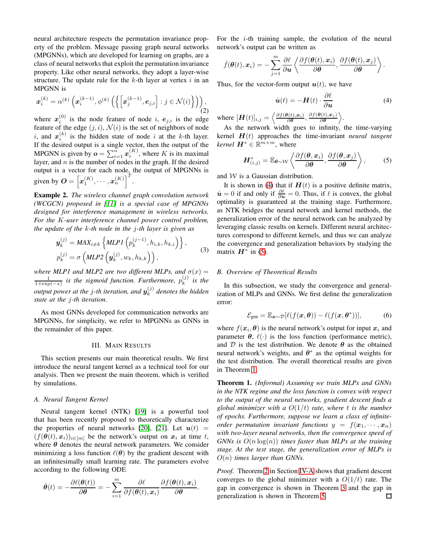neural architecture respects the permutation invariance property of the problem. Message passing graph neural networks (MPGNNs), which are developed for learning on graphs, are a class of neural networks that exploit the permutation invariance property. Like other neural networks, they adopt a layer-wise structure. The update rule for the  $k$ -th layer at vertex  $i$  in an MPGNN is

$$
\boldsymbol{x}_{i}^{(k)} = \alpha^{(k)} \left( \boldsymbol{x}_{i}^{(k-1)}, \phi^{(k)} \left( \left\{ \left[ \boldsymbol{x}_{j}^{(k-1)}, \boldsymbol{e}_{j,i} \right] : j \in \mathcal{N}(i) \right\} \right) \right), \tag{2}
$$

where  $x_i^{(0)}$  $i_i^{(0)}$  is the node feature of node i,  $e_{j,i}$  is the edge feature of the edge  $(j, i)$ ,  $\mathcal{N}(i)$  is the set of neighbors of node i, and  $\boldsymbol{x}_i^{(k)}$  $i^{(k)}$  is the hidden state of node i at the k-th layer. If the desired output is a single vector, then the output of the MPGNN is given by  $o = \sum_{i=1}^{n} x_i^{(K)}$ , where K is its maximal layer, and  $n$  is the number of nodes in the graph. If the desired output is a vector for each node, the output of MPGNNs is given by  $\boldsymbol{O} = \left[ \boldsymbol{x}_1^{(K)}, \cdots, \boldsymbol{x}_n^{(K)} \right]^T$ .

Example 2. *The wireless channel graph convolution network (WCGCN) proposed in [\[11\]](#page-5-9) is a special case of MPGNNs designed for interference management in wireless networks. For the* K*-user interference channel power control problem, the update of the* k*-th node in the* j*-th layer is given as*

$$
\mathbf{y}_{k}^{(j)} = MAX_{i \neq k} \left\{ MLPI\left(p_{k}^{(j-1)}, h_{i,k}, h_{k,i}\right) \right\},
$$
  
\n
$$
p_{k}^{(j)} = \sigma\left( MLP2\left(\mathbf{y}_{k}^{(j)}, w_{k}, h_{k,k}\right)\right),
$$
\n(3)

*where MLP1 and MLP2 are two different MLPs, and*  $\sigma(x)$  =  $\frac{1}{1+\exp(-x)}$  is the sigmoid function. Furthermore,  $p_k^{(j)}$  $\binom{J}{k}$  is the output power at the  $j$ -th iteration, and  $\bm{y}_k^{(j)}$ k *denotes the hidden state at the* j*-th iteration.*

As most GNNs developed for communication networks are MPGNNs, for simplicity, we refer to MPGNNs as GNNs in the remainder of this paper.

## III. MAIN RESULTS

This section presents our main theoretical results. We first introduce the neural tangent kernel as a technical tool for our analysis. Then we present the main theorem, which is verified by simulations.

#### *A. Neural Tangent Kernel*

Neural tangent kernel (NTK) [\[19\]](#page-5-14) is a powerful tool that has been recently proposed to theoretically characterize the properties of neural networks [\[20\]](#page-5-16), [\[21\]](#page-5-17). Let  $u(t)$  =  $(f(\theta(t), x_i))_{i \in [m]}$  be the network's output on  $x_i$  at time t, where  $\theta$  denotes the neural network parameters. We consider minimizing a loss function  $\ell(\theta)$  by the gradient descent with an infinitesimally small learning rate. The parameters evolve according to the following ODE

$$
\dot{\boldsymbol{\theta}}(t) = -\frac{\partial \ell(\boldsymbol{\theta}(t))}{\partial \boldsymbol{\theta}} = -\sum_{i=1}^{m} \frac{\partial \ell}{\partial f(\boldsymbol{\theta}(t), \boldsymbol{x}_i)} \frac{\partial f(\boldsymbol{\theta}(t), \boldsymbol{x}_i)}{\partial \boldsymbol{\theta}}.
$$

For the  $i$ -th training sample, the evolution of the neural network's output can be written as

$$
\dot{f}(\boldsymbol{\theta}(t),\boldsymbol{x}_i)=-\sum_{j=1}^m\frac{\partial\ell}{\partial\boldsymbol{u}}\left\langle\frac{\partial f(\boldsymbol{\theta}(t),\boldsymbol{x}_i)}{\partial\boldsymbol{\theta}},\frac{\partial f(\boldsymbol{\theta}(t),\boldsymbol{x}_j)}{\partial\boldsymbol{\theta}}\right\rangle.
$$

Thus, for the vector-form output  $u(t)$ , we have

<span id="page-2-1"></span><span id="page-2-0"></span>
$$
\dot{\boldsymbol{u}}(t) = -\boldsymbol{H}(t) \cdot \frac{\partial \ell}{\partial \boldsymbol{u}} \tag{4}
$$

where  $[\mathbf{H}(t)]_{i,j} = \left\langle \frac{\partial f(\boldsymbol{\theta}(t), x_i)}{\partial \boldsymbol{\theta}}, \frac{\partial f(\boldsymbol{\theta}(t), x_j)}{\partial \boldsymbol{\theta}} \right\rangle$  $\frac{\partial(t),x_j)}{\partial\boldsymbol{\theta}}\bigg\rangle.$ 

As the network width goes to infinity, the time-varying kernel H(t) approaches the time-invariant *neural tangent kernel*  $\mathbf{H}^* \in \mathbb{R}^{m \times m}$ , where

$$
\boldsymbol{H}_{(i,j)}^* = \mathbb{E}_{\boldsymbol{\theta} \sim \mathcal{W}} \left\langle \frac{\partial f(\boldsymbol{\theta}, \boldsymbol{x}_i)}{\partial \boldsymbol{\theta}}, \frac{\partial f(\boldsymbol{\theta}, \boldsymbol{x}_j)}{\partial \boldsymbol{\theta}} \right\rangle, \quad (5)
$$

and  $W$  is a Gaussian distribution.

It is shown in [\(4\)](#page-2-0) that if  $H(t)$  is a positive definite matrix,  $\dot{u} = 0$  if and only if  $\frac{\partial \ell}{\partial u} = 0$ . Thus, if  $\ell$  is convex, the global optimality is guaranteed at the training stage. Furthermore, as NTK bridges the neural network and kernel methods, the generalization error of the neural network can be analyzed by leveraging classic results on kernels. Different neural architectures correspond to different kernels, and thus we can analyze the convergence and generalization behaviors by studying the matrix  $\mathbf{H}^*$  in [\(5\)](#page-2-1).

## *B. Overview of Theoretical Results*

In this subsection, we study the convergence and generalization of MLPs and GNNs. We first define the generalization error:

$$
\mathcal{E}_{gen} = \mathbb{E}_{\boldsymbol{x} \sim \mathcal{D}}[\ell(f(\boldsymbol{x}, \boldsymbol{\theta})) - \ell(f(\boldsymbol{x}, \boldsymbol{\theta}^*))],\tag{6}
$$

where  $f(\boldsymbol{x}_i, \boldsymbol{\theta})$  is the neural network's output for input  $\boldsymbol{x}_i$  and parameter  $\theta$ ,  $\ell(\cdot)$  is the loss function (performance metric), and  $D$  is the test distribution. We denote  $\theta$  as the obtained neural network's weights, and  $\theta^*$  as the optimal weights for the test distribution. The overall theoretical results are given in Theorem [1.](#page-2-2)

<span id="page-2-2"></span>Theorem 1. *(Informal) Assuming we train MLPs and GNNs in the NTK regime and the loss function is convex with respect to the output of the neural networks, gradient descent finds a global minimizer with a* O(1/t) *rate, where* t *is the number of epochs. Furthermore, suppose we learn a class of infiniteorder permutation invariant functions*  $y = f(x_1, \dots, x_n)$ *with two-layer neural networks, then the convergence speed of GNNs is* O(n log(n)) *times faster than MLPs at the training stage. At the test stage, the generalization error of MLPs is* O(n) *times larger than GNNs.*

*Proof.* Theorem [2](#page-3-0) in Section [IV-A](#page-3-2) shows that gradient descent converges to the global minimizer with a  $O(1/t)$  rate. The gap in convergence is shown in Theorem [3](#page-3-1) and the gap in generalization is shown in Theorem [5.](#page-4-1) $\Box$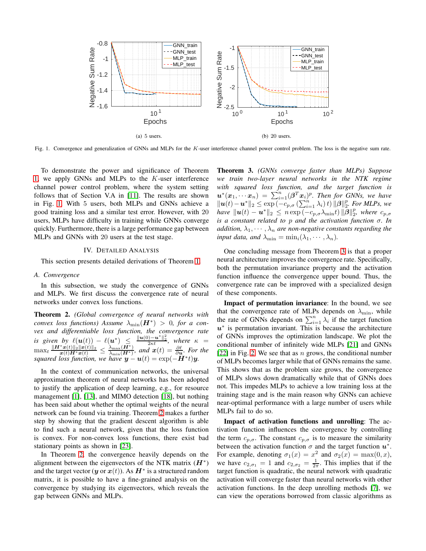

<span id="page-3-3"></span>Fig. 1. Convergence and generalization of GNNs and MLPs for the K-user interference channel power control problem. The loss is the negative sum rate.

To demonstrate the power and significance of Theorem [1,](#page-2-2) we apply GNNs and MLPs to the  $K$ -user interference channel power control problem, where the system setting follows that of Section V.A in [\[11\]](#page-5-9). The results are shown in Fig. [1.](#page-3-3) With 5 users, both MLPs and GNNs achieve a good training loss and a similar test error. However, with 20 users, MLPs have difficulty in training while GNNs converge quickly. Furthermore, there is a large performance gap between MLPs and GNNs with 20 users at the test stage.

#### IV. DETAILED ANALYSIS

This section presents detailed derivations of Theorem [1.](#page-2-2)

### <span id="page-3-2"></span>*A. Convergence*

In this subsection, we study the convergence of GNNs and MLPs. We first discuss the convergence rate of neural networks under convex loss functions.

<span id="page-3-0"></span>Theorem 2. *(Global convergence of neural networks with*  $convex$  loss functions) Assume  $\lambda_{\min}(\boldsymbol{H}^*)$  > 0, for a con*vex and differentiable loss function, the convergence rate is given by*  $\ell(\mathbf{u}(t)) - \ell(\mathbf{u}^*) \leq \frac{\|\mathbf{u}(0) - \mathbf{u}^*\|_2^2}{2\kappa t}$ , where  $\kappa =$  $\max_t \frac{\|\mathbf{H}^*\mathbf{x}(t)\|_2 \|\mathbf{x}(t)\|_2}{\mathbf{x}(t)\mathbf{H}^*\mathbf{x}(t)} \leq \frac{\lambda_{\max}(\mathbf{H}^*)}{\lambda_{\min}(\mathbf{H}^*)}$ , and  $\mathbf{x}(t) = \frac{\partial \ell}{\partial \mathbf{u}}$ . For the *squared loss function, we have*  $y - u(t) = \exp(-H^*t)y$ .

In the context of communication networks, the universal approximation theorem of neural networks has been adopted to justify the application of deep learning, e.g., for resource management [\[1\]](#page-5-0), [\[13\]](#page-5-11), and MIMO detection [\[18\]](#page-5-13), but nothing has been said about whether the optimal weights of the neural network can be found via training. Theorem [2](#page-3-0) makes a further step by showing that the gradient descent algorithm is able to find such a neural network, given that the loss function is convex. For non-convex loss functions, there exist bad stationary points as shown in [\[23\]](#page-5-18).

In Theorem [2,](#page-3-0) the convergence heavily depends on the alignment between the eigenvectors of the NTK matrix  $(H^*)$ and the target vector ( $\boldsymbol{y}$  or  $\boldsymbol{x}(t)$ ). As  $\boldsymbol{H}^*$  is a structured random matrix, it is possible to have a fine-grained analysis on the convergence by studying its eigenvectors, which reveals the gap between GNNs and MLPs.

<span id="page-3-1"></span>Theorem 3. *(GNNs converge faster than MLPs) Suppose we train two-layer neural networks in the NTK regime with squared loss function, and the target function is*  $u^*(x_1, \cdots x_n) = \sum_{i=1}^n (\beta^T x_i)^p$ . Then for GNNs, we have  $\|\boldsymbol{u}(t)-\boldsymbol{u}^*\|_2 \leq \exp(-c_p, \sigma(\sum_{i=1}^n \lambda_i)t)\|\boldsymbol{\beta}\|_2^p$ . For MLPs, we *have*  $||u(t) - u^*||_2 \leq n \exp(-c_{p,\sigma} \lambda_{\min} t) ||\boldsymbol{\beta}||_2^p$ , where  $c_{p,\sigma}$ *is a constant related to* p *and the activation function* σ*. In addition,*  $\lambda_1, \cdots, \lambda_n$  *are non-negative constants regarding the input data, and*  $\lambda_{\min} = \min_i (\lambda_1, \cdots, \lambda_n)$ *.* 

One concluding message from Theorem [3](#page-3-1) is that a proper neural architecture improves the convergence rate. Specifically, both the permutation invariance property and the activation function influence the convergence upper bound. Thus, the convergence rate can be improved with a specialized design of these components.

Impact of permutation invariance: In the bound, we see that the convergence rate of MLPs depends on  $\lambda_{\min}$ , while the rate of GNNs depends on  $\sum_{i=1}^{n} \lambda_i$  if the target function  $u^*$  is permutation invariant. This is because the architecture of GNNs improves the optimization landscape. We plot the conditional number of infinitely wide MLPs [\[21\]](#page-5-17) and GNNs [\[22\]](#page-5-19) in Fig. [2.](#page-4-2) We see that as  $n$  grows, the conditional number of MLPs becomes larger while that of GNNs remains the same. This shows that as the problem size grows, the convergence of MLPs slows down dramatically while that of GNNs does not. This impedes MLPs to achieve a low training loss at the training stage and is the main reason why GNNs can achieve near-optimal performance with a large number of users while MLPs fail to do so.

Impact of activation functions and unrolling: The activation function influences the convergence by controlling the term  $c_{p,\sigma}$ . The constant  $c_{p,\sigma}$  is to measure the similarity between the activation function  $\sigma$  and the target function  $u^*$ . For example, denoting  $\sigma_1(x) = x^2$  and  $\sigma_2(x) = \max(0, x)$ , we have  $c_{2,\sigma_1} = 1$  and  $c_{2,\sigma_2} = \frac{1}{2\pi}$ . This implies that if the target function is quadratic, the neural network with quadratic activation will converge faster than neural networks with other activation functions. In the deep unrolling methods [\[7\]](#page-5-6), we can view the operations borrowed from classic algorithms as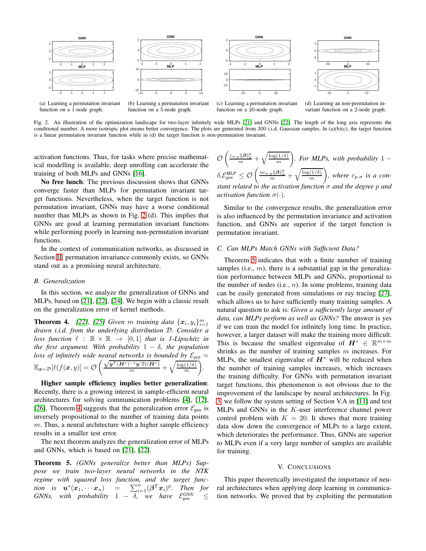

(a) Learning a permutation invariant function on a 1-node graph.

(b) Learning a permutation invariant function on a 5-node graph.

(c) Learning a permutation invariant function on a 20-node graph.

(d) Learning an non-permutation invariant function on a 2-node graph.

<span id="page-4-2"></span>Fig. 2. An illustration of the optimization landscape for two-layer infinitely wide MLPs [\[21\]](#page-5-17) and GNNs [\[22\]](#page-5-19). The length of the long axis represents the conditional number. A more isotropic plot means better convergence. The plots are generated from  $300$  i.i.d. Gaussian samples. In (a)(b)(c), the target function is a linear permutation invariant function while in (d) the target function is non-permutation invariant.

activation functions. Thus, for tasks where precise mathematical modelling is available, deep unrolling can accelerate the training of both MLPs and GNNs [\[16\]](#page-5-20).

No free lunch: The previous discussion shows that GNNs converge faster than MLPs for permutation invariant target functions. Nevertheless, when the target function is not permutation invariant, GNNs may have a worse conditional number than MLPs as shown in Fig. [2](#page-4-2) (d). This implies that GNNs are good at learning permutation invariant functions while performing poorly in learning non-permutation invariant functions.

In the context of communication networks, as discussed in Section [II,](#page-1-3) permutation invariance commonly exists, so GNNs stand out as a promising neural architecture.

#### *B. Generalization*

In this section, we analyze the generalization of GNNs and MLPs, based on [\[21\]](#page-5-17), [\[22\]](#page-5-19), [\[24\]](#page-5-21). We begin with a classic result on the generalization error of kernel methods.

<span id="page-4-0"></span>**Theorem 4.** [\[22\]](#page-5-19), [\[25\]](#page-5-22) Given m training data  $\{x_i, y_i\}_{i=1}^m$ *drawn i.i.d. from the underlying distribution* D*. Consider a loss function*  $\ell : \mathbb{R} \times \mathbb{R} \rightarrow [0,1]$  *that is 1-Lipschitz in the first argument. With probability*  $1 - \delta$ *, the population loss of infinitely wide neural networks is bounded by*  $\mathcal{E}_{gen}$  =  $\mathbb{E}_{\boldsymbol{x} \sim \mathcal{D}} [\ell(f(\boldsymbol{x}, y)] = \mathcal{O} \left( \frac{\sqrt{\boldsymbol{y}^T (\boldsymbol{H}^*)^{-1} \boldsymbol{y} \cdot \text{Tr}(\boldsymbol{H}^*)}}{m} + \sqrt{\frac{\log(1/\delta)}{m}} \right)$ *.*

Higher sample efficiency implies better generalization: Recently, there is a growing interest in sample-efficient neural architectures for solving communication problems [\[4\]](#page-5-3), [\[12\]](#page-5-23), [\[26\]](#page-5-24). Theorem [4](#page-4-0) suggests that the generalization error  $\mathcal{E}_{gen}$  is inversely propositional to the number of training data points  $m$ . Thus, a neural architecture with a higher sample efficiency results in a smaller test error.

The next theorem analyzes the generalization error of MLPs and GNNs, which is based on [\[21\]](#page-5-17), [\[22\]](#page-5-19).

<span id="page-4-1"></span>Theorem 5. *(GNNs generalize better than MLPs) Suppose we train two-layer neural networks in the NTK regime with squared loss function, and the target function is*  $u^*(x_1, \dots x_n)$  =  $\sum_{i=1}^n (\beta^T x_i)^p$ . Then for *GNNs,* with probability  $1 - \delta$ , we have  $\mathcal{E}_{gen}^{GNN} \leq$ 

$$
\mathcal{O}\left(\frac{c_{\sigma,p} \|\beta\|_{2}^{p}}{m} + \sqrt{\frac{\log(1/\delta)}{m}}\right).
$$
 For MLPs, with probability  $1 - \delta$ ,  $\mathcal{E}_{gen}^{MLP} \leq \mathcal{O}\left(\frac{nc_{\sigma,p} \|\beta\|_{2}^{p}}{m} + \sqrt{\frac{\log(1/\delta)}{m}}\right)$ , where  $c_{p,\sigma}$  is a constant related to the activation function  $\sigma$  and the degree  $p$  and activation function  $\sigma(\cdot)$ .

Similar to the convergence results, the generalization error is also influenced by the permutation invariance and activation function, and GNNs are superior if the target function is permutation invariant.

## *C. Can MLPs Match GNNs with Sufficient Data?*

Theorem [5](#page-4-1) indicates that with a finite number of training samples (i.e.,  $m$ ), there is a substantial gap in the generalization performance between MLPs and GNNs, proportional to the number of nodes  $(i.e., n)$ . In some problems, training data can be easily generated from simulations or ray tracing [\[27\]](#page-5-25), which allows us to have sufficiently many training samples. A natural question to ask is: *Given a sufficiently large amount of data, can MLPs perform as well as GNNs?* The answer is yes if we can train the model for infinitely long time. In practice, however, a larger dataset will make the training more difficult. This is because the smallest eigenvalue of  $H^* \in \mathbb{R}^{m \times m}$ shrinks as the number of training samples  $m$  increases. For MLPs, the smallest eigenvalue of  $H^*$  will be reduced when the number of training samples increases, which increases the training difficulty. For GNNs with permutation invariant target functions, this phenomenon is not obvious due to the improvement of the landscape by neural architectures. In Fig. [3,](#page-5-26) we follow the system setting of Section V.A in [\[11\]](#page-5-9) and test MLPs and GNNs in the K-user interference channel power control problem with  $K = 20$ . It shows that more training data slow down the convergence of MLPs to a large extent, which deteriorates the performance. Thus, GNNs are superior to MLPs even if a very large number of samples are available for training.

#### V. CONCLUSIONS

This paper theoretically investigated the importance of neural architectures when applying deep learning in communication networks. We proved that by exploiting the permutation